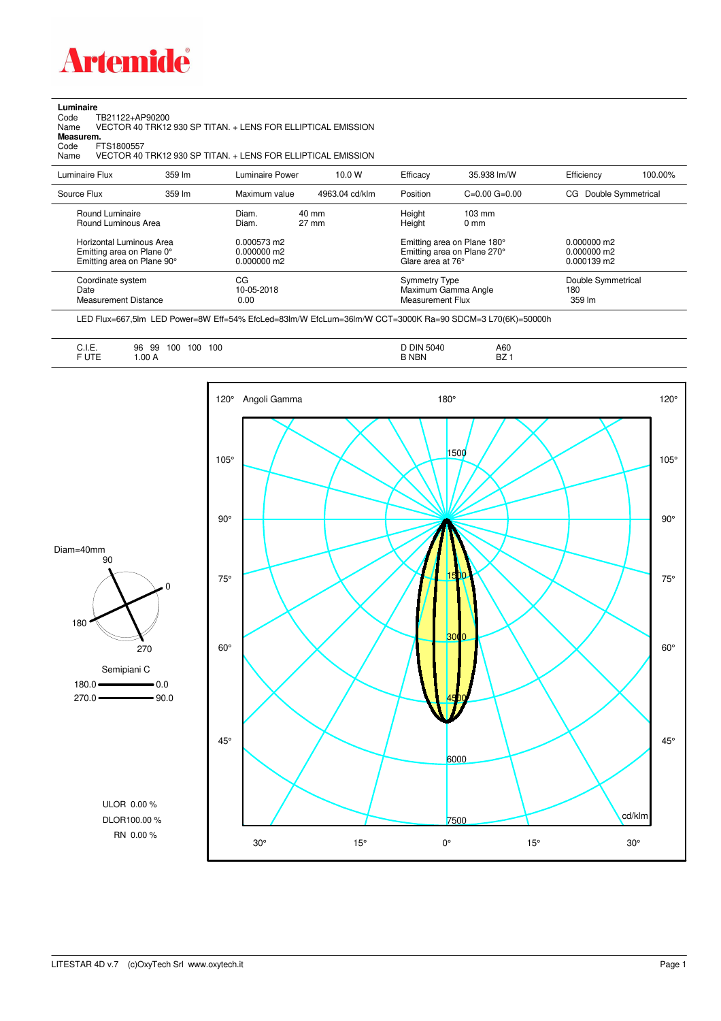

**Luminaire**<br>Code T<br>Name \ Code TB21122+AP90200 Name VECTOR 40 TRK12 930 SP TITAN. + LENS FOR ELLIPTICAL EMISSION

**Measurem.**

Code FTS1800557<br>Name VECTOR 40 Name VECTOR 40 TRK12 930 SP TITAN. + LENS FOR ELLIPTICAL EMISSION

| Luminaire Flux                                                                                                                | 359 lm | Luminaire Power                                                 | 10.0 W                   | Efficacy                                 | 35.938 lm/W                                                                                      | Efficiency                                      | 100.00% |
|-------------------------------------------------------------------------------------------------------------------------------|--------|-----------------------------------------------------------------|--------------------------|------------------------------------------|--------------------------------------------------------------------------------------------------|-------------------------------------------------|---------|
| Source Flux                                                                                                                   | 359 lm | Maximum value                                                   | 4963.04 cd/klm           | Position                                 | $C=0.00$ $G=0.00$                                                                                | Double Symmetrical<br>CG                        |         |
| Round Luminaire<br>Round Luminous Area<br>Horizontal Luminous Area<br>Emitting area on Plane 0°<br>Emitting area on Plane 90° |        | Diam.<br>Diam.<br>0.000573 m2<br>$0.000000$ m2<br>$0.000000$ m2 | 40 mm<br>$27 \text{ mm}$ | Height<br>Height<br>Glare area at 76°    | $103 \text{ mm}$<br>$0 \text{ mm}$<br>Emitting area on Plane 180°<br>Emitting area on Plane 270° | $0.000000$ m2<br>$0.000000$ m2<br>$0.000139$ m2 |         |
| Coordinate system<br>Date<br><b>Measurement Distance</b>                                                                      |        | CG<br>10-05-2018<br>0.00                                        |                          | <b>Symmetry Type</b><br>Measurement Flux | Maximum Gamma Angle                                                                              | Double Symmetrical<br>180<br>359 lm             |         |

LED Flux=667,5lm LED Power=8W Eff=54% EfcLed=83lm/W EfcLum=36lm/W CCT=3000K Ra=90 SDCM=3 L70(6K)=50000h

| <b>R</b> NBN<br>.00 A<br>BZ.<br><b>FUIL</b> |
|---------------------------------------------|
|---------------------------------------------|